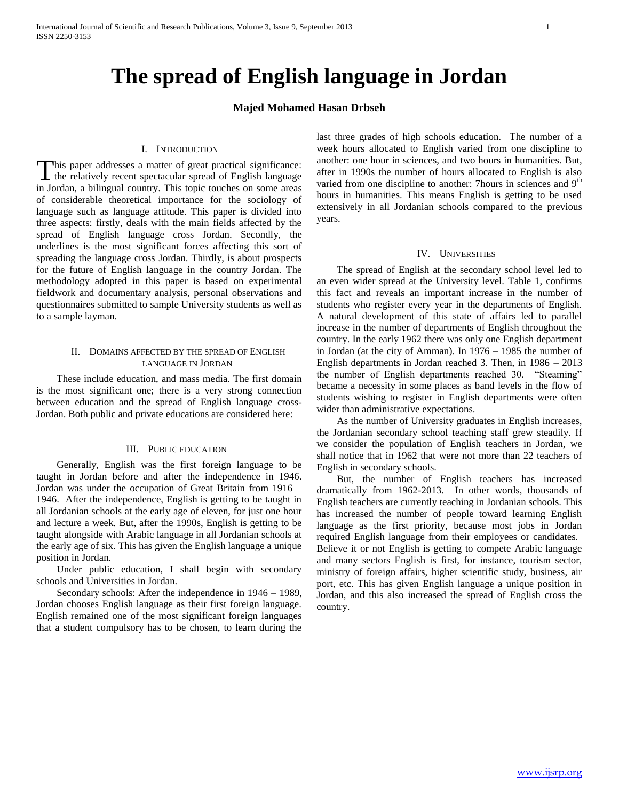# **The spread of English language in Jordan**

# **Majed Mohamed Hasan Drbseh**

## I. INTRODUCTION

his paper addresses a matter of great practical significance: This paper addresses a matter of great practical significance:<br>the relatively recent spectacular spread of English language in Jordan, a bilingual country. This topic touches on some areas of considerable theoretical importance for the sociology of language such as language attitude. This paper is divided into three aspects: firstly, deals with the main fields affected by the spread of English language cross Jordan. Secondly, the underlines is the most significant forces affecting this sort of spreading the language cross Jordan. Thirdly, is about prospects for the future of English language in the country Jordan. The methodology adopted in this paper is based on experimental fieldwork and documentary analysis, personal observations and questionnaires submitted to sample University students as well as to a sample layman.

## II. DOMAINS AFFECTED BY THE SPREAD OF ENGLISH LANGUAGE IN JORDAN

 These include education, and mass media. The first domain is the most significant one; there is a very strong connection between education and the spread of English language cross-Jordan. Both public and private educations are considered here:

## III. PUBLIC EDUCATION

 Generally, English was the first foreign language to be taught in Jordan before and after the independence in 1946. Jordan was under the occupation of Great Britain from 1916 – 1946. After the independence, English is getting to be taught in all Jordanian schools at the early age of eleven, for just one hour and lecture a week. But, after the 1990s, English is getting to be taught alongside with Arabic language in all Jordanian schools at the early age of six. This has given the English language a unique position in Jordan.

 Under public education, I shall begin with secondary schools and Universities in Jordan.

 Secondary schools: After the independence in 1946 – 1989, Jordan chooses English language as their first foreign language. English remained one of the most significant foreign languages that a student compulsory has to be chosen, to learn during the last three grades of high schools education. The number of a week hours allocated to English varied from one discipline to another: one hour in sciences, and two hours in humanities. But, after in 1990s the number of hours allocated to English is also varied from one discipline to another: 7hours in sciences and 9<sup>th</sup> hours in humanities. This means English is getting to be used extensively in all Jordanian schools compared to the previous years.

#### IV. UNIVERSITIES

 The spread of English at the secondary school level led to an even wider spread at the University level. Table 1, confirms this fact and reveals an important increase in the number of students who register every year in the departments of English. A natural development of this state of affairs led to parallel increase in the number of departments of English throughout the country. In the early 1962 there was only one English department in Jordan (at the city of Amman). In 1976 – 1985 the number of English departments in Jordan reached 3. Then, in 1986 – 2013 the number of English departments reached 30. "Steaming" became a necessity in some places as band levels in the flow of students wishing to register in English departments were often wider than administrative expectations.

 As the number of University graduates in English increases, the Jordanian secondary school teaching staff grew steadily. If we consider the population of English teachers in Jordan, we shall notice that in 1962 that were not more than 22 teachers of English in secondary schools.

 But, the number of English teachers has increased dramatically from 1962-2013. In other words, thousands of English teachers are currently teaching in Jordanian schools. This has increased the number of people toward learning English language as the first priority, because most jobs in Jordan required English language from their employees or candidates. Believe it or not English is getting to compete Arabic language and many sectors English is first, for instance, tourism sector, ministry of foreign affairs, higher scientific study, business, air port, etc. This has given English language a unique position in Jordan, and this also increased the spread of English cross the country.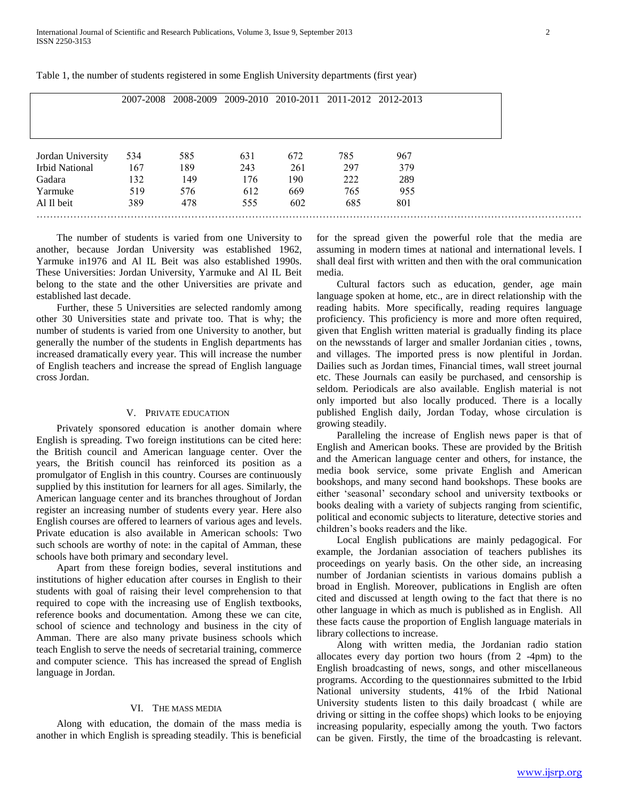|                       | 2007-2008 |     |     |     | 2008-2009 2009-2010 2010-2011 2011-2012 2012-2013 |     |  |
|-----------------------|-----------|-----|-----|-----|---------------------------------------------------|-----|--|
|                       |           |     |     |     |                                                   |     |  |
|                       |           |     |     |     |                                                   |     |  |
| Jordan University     | 534       | 585 | 631 | 672 | 785                                               | 967 |  |
| <b>Irbid National</b> | 167       | 189 | 243 | 261 | 297                                               | 379 |  |
| Gadara                | 132       | 149 | 176 | 190 | 222                                               | 289 |  |
| Yarmuke               | 519       | 576 | 612 | 669 | 765                                               | 955 |  |
| Al Il beit            | 389       | 478 | 555 | 602 | 685                                               | 801 |  |

Table 1, the number of students registered in some English University departments (first year)

 The number of students is varied from one University to another, because Jordan University was established 1962, Yarmuke in1976 and Al IL Beit was also established 1990s. These Universities: Jordan University, Yarmuke and Al IL Beit belong to the state and the other Universities are private and established last decade.

 Further, these 5 Universities are selected randomly among other 30 Universities state and private too. That is why; the number of students is varied from one University to another, but generally the number of the students in English departments has increased dramatically every year. This will increase the number of English teachers and increase the spread of English language cross Jordan.

#### V. PRIVATE EDUCATION

 Privately sponsored education is another domain where English is spreading. Two foreign institutions can be cited here: the British council and American language center. Over the years, the British council has reinforced its position as a promulgator of English in this country. Courses are continuously supplied by this institution for learners for all ages. Similarly, the American language center and its branches throughout of Jordan register an increasing number of students every year. Here also English courses are offered to learners of various ages and levels. Private education is also available in American schools: Two such schools are worthy of note: in the capital of Amman, these schools have both primary and secondary level.

 Apart from these foreign bodies, several institutions and institutions of higher education after courses in English to their students with goal of raising their level comprehension to that required to cope with the increasing use of English textbooks, reference books and documentation. Among these we can cite, school of science and technology and business in the city of Amman. There are also many private business schools which teach English to serve the needs of secretarial training, commerce and computer science. This has increased the spread of English language in Jordan.

### VI. THE MASS MEDIA

 Along with education, the domain of the mass media is another in which English is spreading steadily. This is beneficial for the spread given the powerful role that the media are assuming in modern times at national and international levels. I shall deal first with written and then with the oral communication media.

 Cultural factors such as education, gender, age main language spoken at home, etc., are in direct relationship with the reading habits. More specifically, reading requires language proficiency. This proficiency is more and more often required, given that English written material is gradually finding its place on the newsstands of larger and smaller Jordanian cities , towns, and villages. The imported press is now plentiful in Jordan. Dailies such as Jordan times, Financial times, wall street journal etc. These Journals can easily be purchased, and censorship is seldom. Periodicals are also available. English material is not only imported but also locally produced. There is a locally published English daily, Jordan Today, whose circulation is growing steadily.

 Paralleling the increase of English news paper is that of English and American books. These are provided by the British and the American language center and others, for instance, the media book service, some private English and American bookshops, and many second hand bookshops. These books are either 'seasonal' secondary school and university textbooks or books dealing with a variety of subjects ranging from scientific, political and economic subjects to literature, detective stories and children's books readers and the like.

 Local English publications are mainly pedagogical. For example, the Jordanian association of teachers publishes its proceedings on yearly basis. On the other side, an increasing number of Jordanian scientists in various domains publish a broad in English. Moreover, publications in English are often cited and discussed at length owing to the fact that there is no other language in which as much is published as in English. All these facts cause the proportion of English language materials in library collections to increase.

 Along with written media, the Jordanian radio station allocates every day portion two hours (from 2 -4pm) to the English broadcasting of news, songs, and other miscellaneous programs. According to the questionnaires submitted to the Irbid National university students, 41% of the Irbid National University students listen to this daily broadcast ( while are driving or sitting in the coffee shops) which looks to be enjoying increasing popularity, especially among the youth. Two factors can be given. Firstly, the time of the broadcasting is relevant.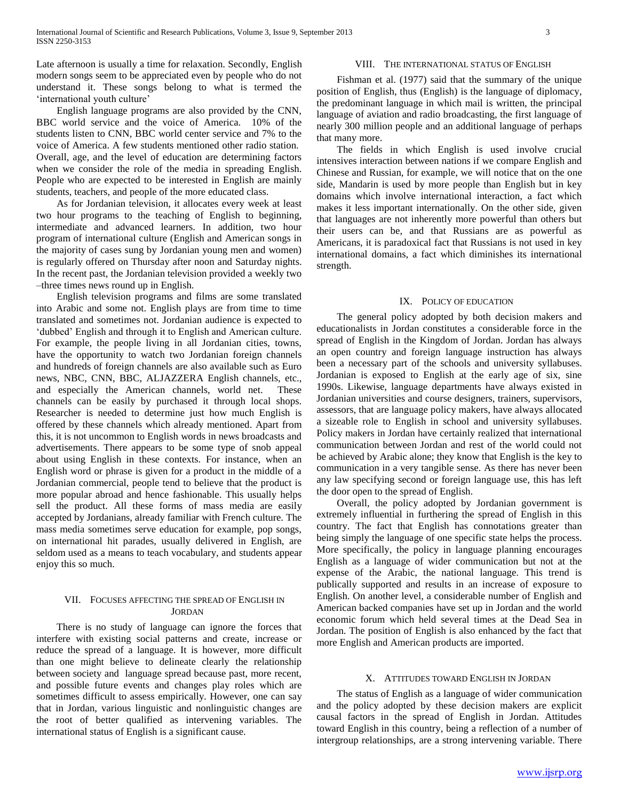Late afternoon is usually a time for relaxation. Secondly, English modern songs seem to be appreciated even by people who do not understand it. These songs belong to what is termed the 'international youth culture'

 English language programs are also provided by the CNN, BBC world service and the voice of America. 10% of the students listen to CNN, BBC world center service and 7% to the voice of America. A few students mentioned other radio station. Overall, age, and the level of education are determining factors when we consider the role of the media in spreading English. People who are expected to be interested in English are mainly students, teachers, and people of the more educated class.

 As for Jordanian television, it allocates every week at least two hour programs to the teaching of English to beginning, intermediate and advanced learners. In addition, two hour program of international culture (English and American songs in the majority of cases sung by Jordanian young men and women) is regularly offered on Thursday after noon and Saturday nights. In the recent past, the Jordanian television provided a weekly two –three times news round up in English.

 English television programs and films are some translated into Arabic and some not. English plays are from time to time translated and sometimes not. Jordanian audience is expected to 'dubbed' English and through it to English and American culture. For example, the people living in all Jordanian cities, towns, have the opportunity to watch two Jordanian foreign channels and hundreds of foreign channels are also available such as Euro news, NBC, CNN, BBC, ALJAZZERA English channels, etc., and especially the American channels, world net. These channels can be easily by purchased it through local shops. Researcher is needed to determine just how much English is offered by these channels which already mentioned. Apart from this, it is not uncommon to English words in news broadcasts and advertisements. There appears to be some type of snob appeal about using English in these contexts. For instance, when an English word or phrase is given for a product in the middle of a Jordanian commercial, people tend to believe that the product is more popular abroad and hence fashionable. This usually helps sell the product. All these forms of mass media are easily accepted by Jordanians, already familiar with French culture. The mass media sometimes serve education for example, pop songs, on international hit parades, usually delivered in English, are seldom used as a means to teach vocabulary, and students appear enjoy this so much.

# VII. FOCUSES AFFECTING THE SPREAD OF ENGLISH IN JORDAN

 There is no study of language can ignore the forces that interfere with existing social patterns and create, increase or reduce the spread of a language. It is however, more difficult than one might believe to delineate clearly the relationship between society and language spread because past, more recent, and possible future events and changes play roles which are sometimes difficult to assess empirically. However, one can say that in Jordan, various linguistic and nonlinguistic changes are the root of better qualified as intervening variables. The international status of English is a significant cause.

## VIII. THE INTERNATIONAL STATUS OF ENGLISH

 Fishman et al. (1977) said that the summary of the unique position of English, thus (English) is the language of diplomacy, the predominant language in which mail is written, the principal language of aviation and radio broadcasting, the first language of nearly 300 million people and an additional language of perhaps that many more.

 The fields in which English is used involve crucial intensives interaction between nations if we compare English and Chinese and Russian, for example, we will notice that on the one side, Mandarin is used by more people than English but in key domains which involve international interaction, a fact which makes it less important internationally. On the other side, given that languages are not inherently more powerful than others but their users can be, and that Russians are as powerful as Americans, it is paradoxical fact that Russians is not used in key international domains, a fact which diminishes its international strength.

#### IX. POLICY OF EDUCATION

 The general policy adopted by both decision makers and educationalists in Jordan constitutes a considerable force in the spread of English in the Kingdom of Jordan. Jordan has always an open country and foreign language instruction has always been a necessary part of the schools and university syllabuses. Jordanian is exposed to English at the early age of six, sine 1990s. Likewise, language departments have always existed in Jordanian universities and course designers, trainers, supervisors, assessors, that are language policy makers, have always allocated a sizeable role to English in school and university syllabuses. Policy makers in Jordan have certainly realized that international communication between Jordan and rest of the world could not be achieved by Arabic alone; they know that English is the key to communication in a very tangible sense. As there has never been any law specifying second or foreign language use, this has left the door open to the spread of English.

 Overall, the policy adopted by Jordanian government is extremely influential in furthering the spread of English in this country. The fact that English has connotations greater than being simply the language of one specific state helps the process. More specifically, the policy in language planning encourages English as a language of wider communication but not at the expense of the Arabic, the national language. This trend is publically supported and results in an increase of exposure to English. On another level, a considerable number of English and American backed companies have set up in Jordan and the world economic forum which held several times at the Dead Sea in Jordan. The position of English is also enhanced by the fact that more English and American products are imported.

#### X. ATTITUDES TOWARD ENGLISH IN JORDAN

 The status of English as a language of wider communication and the policy adopted by these decision makers are explicit causal factors in the spread of English in Jordan. Attitudes toward English in this country, being a reflection of a number of intergroup relationships, are a strong intervening variable. There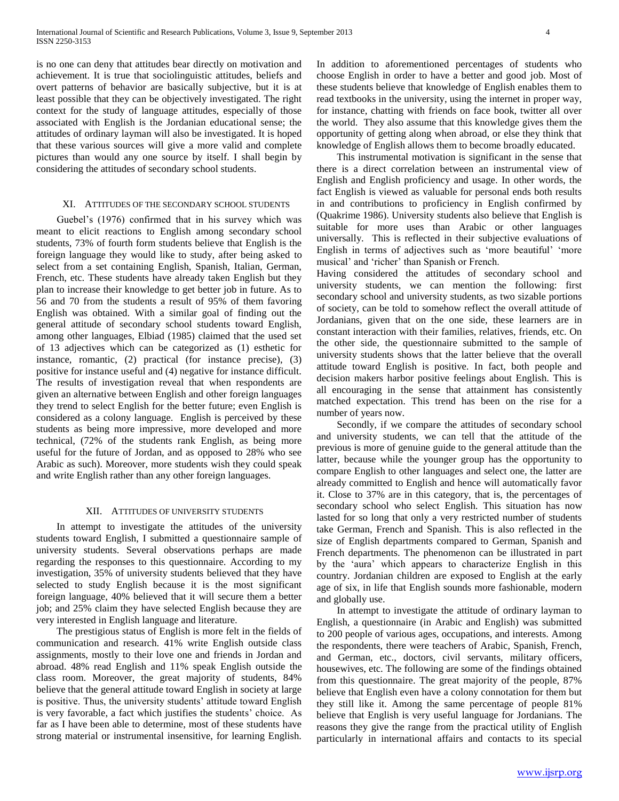is no one can deny that attitudes bear directly on motivation and achievement. It is true that sociolinguistic attitudes, beliefs and overt patterns of behavior are basically subjective, but it is at least possible that they can be objectively investigated. The right context for the study of language attitudes, especially of those associated with English is the Jordanian educational sense; the attitudes of ordinary layman will also be investigated. It is hoped that these various sources will give a more valid and complete pictures than would any one source by itself. I shall begin by considering the attitudes of secondary school students.

#### XI. ATTITUDES OF THE SECONDARY SCHOOL STUDENTS

 Guebel's (1976) confirmed that in his survey which was meant to elicit reactions to English among secondary school students, 73% of fourth form students believe that English is the foreign language they would like to study, after being asked to select from a set containing English, Spanish, Italian, German, French, etc. These students have already taken English but they plan to increase their knowledge to get better job in future. As to 56 and 70 from the students a result of 95% of them favoring English was obtained. With a similar goal of finding out the general attitude of secondary school students toward English, among other languages, Elbiad (1985) claimed that the used set of 13 adjectives which can be categorized as (1) esthetic for instance, romantic, (2) practical (for instance precise), (3) positive for instance useful and (4) negative for instance difficult. The results of investigation reveal that when respondents are given an alternative between English and other foreign languages they trend to select English for the better future; even English is considered as a colony language. English is perceived by these students as being more impressive, more developed and more technical, (72% of the students rank English, as being more useful for the future of Jordan, and as opposed to 28% who see Arabic as such). Moreover, more students wish they could speak and write English rather than any other foreign languages.

## XII. ATTITUDES OF UNIVERSITY STUDENTS

 In attempt to investigate the attitudes of the university students toward English, I submitted a questionnaire sample of university students. Several observations perhaps are made regarding the responses to this questionnaire. According to my investigation, 35% of university students believed that they have selected to study English because it is the most significant foreign language, 40% believed that it will secure them a better job; and 25% claim they have selected English because they are very interested in English language and literature.

 The prestigious status of English is more felt in the fields of communication and research. 41% write English outside class assignments, mostly to their love one and friends in Jordan and abroad. 48% read English and 11% speak English outside the class room. Moreover, the great majority of students, 84% believe that the general attitude toward English in society at large is positive. Thus, the university students' attitude toward English is very favorable, a fact which justifies the students' choice. As far as I have been able to determine, most of these students have strong material or instrumental insensitive, for learning English.

In addition to aforementioned percentages of students who choose English in order to have a better and good job. Most of these students believe that knowledge of English enables them to read textbooks in the university, using the internet in proper way, for instance, chatting with friends on face book, twitter all over the world. They also assume that this knowledge gives them the opportunity of getting along when abroad, or else they think that knowledge of English allows them to become broadly educated.

 This instrumental motivation is significant in the sense that there is a direct correlation between an instrumental view of English and English proficiency and usage. In other words, the fact English is viewed as valuable for personal ends both results in and contributions to proficiency in English confirmed by (Quakrime 1986). University students also believe that English is suitable for more uses than Arabic or other languages universally. This is reflected in their subjective evaluations of English in terms of adjectives such as 'more beautiful' 'more musical' and 'richer' than Spanish or French.

Having considered the attitudes of secondary school and university students, we can mention the following: first secondary school and university students, as two sizable portions of society, can be told to somehow reflect the overall attitude of Jordanians, given that on the one side, these learners are in constant interaction with their families, relatives, friends, etc. On the other side, the questionnaire submitted to the sample of university students shows that the latter believe that the overall attitude toward English is positive. In fact, both people and decision makers harbor positive feelings about English. This is all encouraging in the sense that attainment has consistently matched expectation. This trend has been on the rise for a number of years now.

 Secondly, if we compare the attitudes of secondary school and university students, we can tell that the attitude of the previous is more of genuine guide to the general attitude than the latter, because while the younger group has the opportunity to compare English to other languages and select one, the latter are already committed to English and hence will automatically favor it. Close to 37% are in this category, that is, the percentages of secondary school who select English. This situation has now lasted for so long that only a very restricted number of students take German, French and Spanish. This is also reflected in the size of English departments compared to German, Spanish and French departments. The phenomenon can be illustrated in part by the 'aura' which appears to characterize English in this country. Jordanian children are exposed to English at the early age of six, in life that English sounds more fashionable, modern and globally use.

 In attempt to investigate the attitude of ordinary layman to English, a questionnaire (in Arabic and English) was submitted to 200 people of various ages, occupations, and interests. Among the respondents, there were teachers of Arabic, Spanish, French, and German, etc., doctors, civil servants, military officers, housewives, etc. The following are some of the findings obtained from this questionnaire. The great majority of the people, 87% believe that English even have a colony connotation for them but they still like it. Among the same percentage of people 81% believe that English is very useful language for Jordanians. The reasons they give the range from the practical utility of English particularly in international affairs and contacts to its special